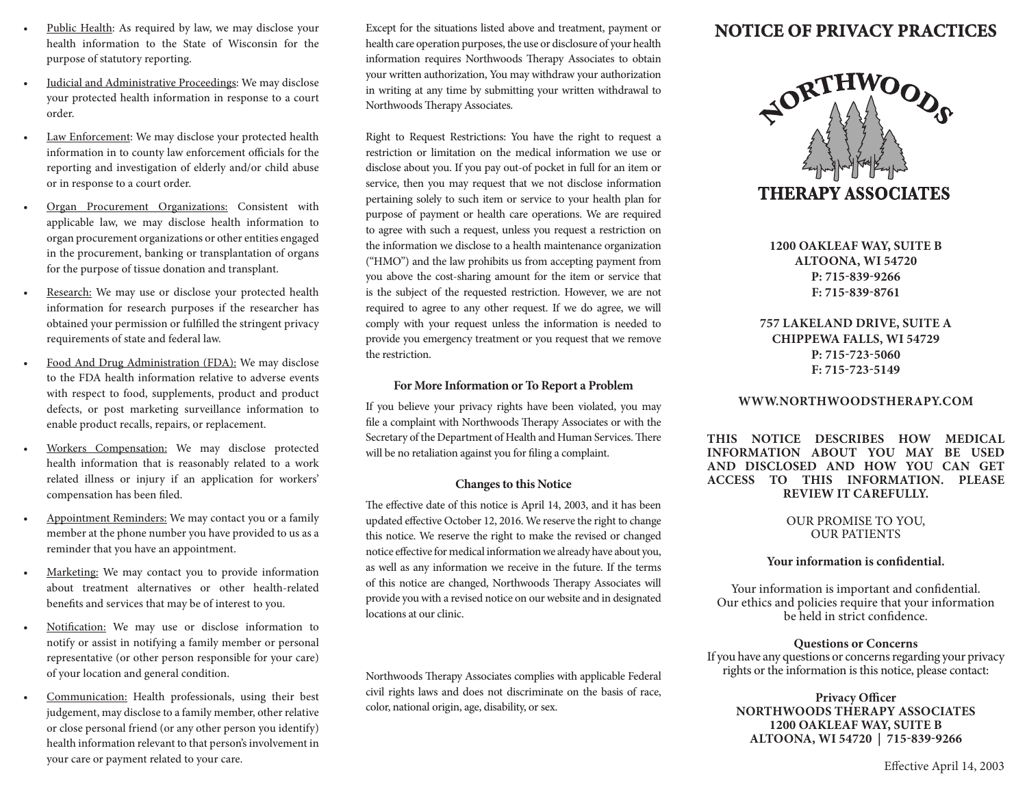- Public Health: As required by law, we may disclose your health information to the State of Wisconsin for the purpose of statutory reporting.
- Judicial and Administrative Proceedings: We may disclose your protected health information in response to a court order.
- Law Enforcement: We may disclose your protected health information in to county law enforcement officials for the reporting and investigation of elderly and/or child abuse or in response to a court order.
- Organ Procurement Organizations: Consistent with applicable law, we may disclose health information to organ procurement organizations or other entities engaged in the procurement, banking or transplantation of organs for the purpose of tissue donation and transplant.
- Research: We may use or disclose your protected health information for research purposes if the researcher has obtained your permission or fulfilled the stringent privacy requirements of state and federal law.
- Food And Drug Administration (FDA): We may disclose to the FDA health information relative to adverse events with respect to food, supplements, product and product defects, or post marketing surveillance information to enable product recalls, repairs, or replacement.
- Workers Compensation: We may disclose protected health information that is reasonably related to a work related illness or injury if an application for workers' compensation has been filed.
- Appointment Reminders: We may contact you or a family member at the phone number you have provided to us as a reminder that you have an appointment.
- Marketing: We may contact you to provide information about treatment alternatives or other health-related benefits and services that may be of interest to you.
- Notification: We may use or disclose information to notify or assist in notifying a family member or personal representative (or other person responsible for your care) of your location and general condition.
- Communication: Health professionals, using their best judgement, may disclose to a family member, other relative or close personal friend (or any other person you identify) health information relevant to that person's involvement in your care or payment related to your care.

Except for the situations listed above and treatment, payment or health care operation purposes, the use or disclosure of your health information requires Northwoods Therapy Associates to obtain your written authorization, You may withdraw your authorization in writing at any time by submitting your written withdrawal to Northwoods Therapy Associates.

Right to Request Restrictions: You have the right to request a restriction or limitation on the medical information we use or disclose about you. If you pay out-of pocket in full for an item or service, then you may request that we not disclose information pertaining solely to such item or service to your health plan for purpose of payment or health care operations. We are required to agree with such a request, unless you request a restriction on the information we disclose to a health maintenance organization ("HMO") and the law prohibits us from accepting payment from you above the cost-sharing amount for the item or service that is the subject of the requested restriction. However, we are not required to agree to any other request. If we do agree, we will comply with your request unless the information is needed to provide you emergency treatment or you request that we remove the restriction.

## **For More Information or To Report a Problem**

If you believe your privacy rights have been violated, you may file a complaint with Northwoods Therapy Associates or with the Secretary of the Department of Health and Human Services. There will be no retaliation against you for filing a complaint.

## **Changes to this Notice**

The effective date of this notice is April 14, 2003, and it has been updated effective October 12, 2016. We reserve the right to change this notice. We reserve the right to make the revised or changed notice effective for medical information we already have about you, as well as any information we receive in the future. If the terms of this notice are changed, Northwoods Therapy Associates will provide you with a revised notice on our website and in designated locations at our clinic.

Northwoods Therapy Associates complies with applicable Federal civil rights laws and does not discriminate on the basis of race, color, national origin, age, disability, or sex.

# **NOTICE OF PRIVACY PRACTICES**



**1200 OAKLEAF WAY, SUITE B ALTOONA, WI 54720 P: 715-839-9266 F: 715-839-8761**

**757 LAKELAND DRIVE, SUITE A CHIPPEWA FALLS, WI 54729 P: 715-723-5060 F: 715-723-5149**

## **WWW.NORTHWOODSTHERAPY.COM**

**THIS NOTICE DESCRIBES HOW MEDICAL INFORMATION ABOUT YOU MAY BE USED AND DISCLOSED AND HOW YOU CAN GET ACCESS TO THIS INFORMATION. PLEASE REVIEW IT CAREFULLY.**

## OUR PROMISE TO YOU, OUR PATIENTS

## **Your information is confidential.**

Your information is important and confidential. Our ethics and policies require that your information be held in strict confidence.

## **Questions or Concerns**

If you have any questions or concerns regarding your privacy rights or the information is this notice, please contact:

**Privacy Officer NORTHWOODS THERAPY ASSOCIATES 1200 OAKLEAF WAY, SUITE B ALTOONA, WI 54720 | 715-839-9266**